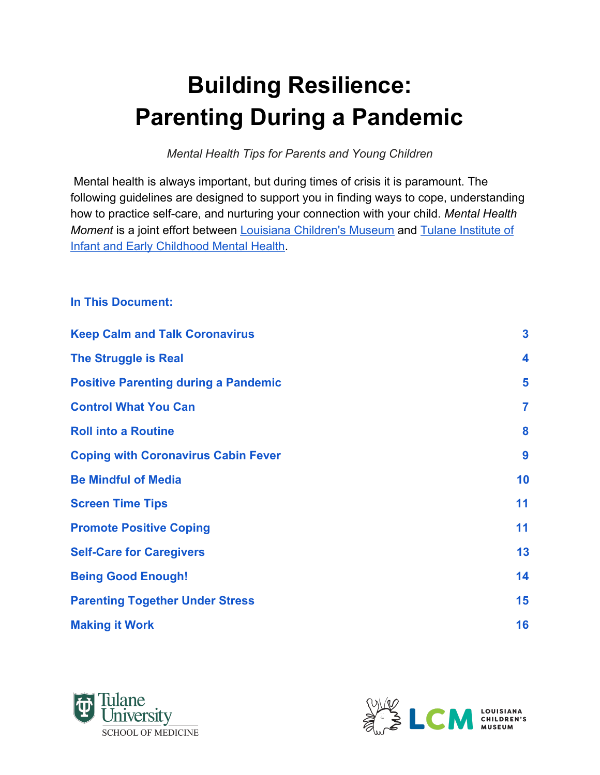# **Building Resilience: Parenting During a Pandemic**

*Mental Health Tips for Parents and Young Children*

 Mental health is always important, but during times of crisis it is paramount. The following guidelines are designed to support you in finding ways to cope, understanding how to practice self-care, and nurturing your connection with your child. *Mental Health Moment* is a joint effort between [Louisiana Children's Museum](https://www.lcm.org/) and [Tulane Institute of](https://medicine.tulane.edu/infant-institute) [Infant and Early Childhood Mental Health.](https://medicine.tulane.edu/infant-institute)

#### **In This Document:**

| <b>Keep Calm and Talk Coronavirus</b>       | $\mathbf{3}$            |
|---------------------------------------------|-------------------------|
| <b>The Struggle is Real</b>                 | $\overline{\mathbf{4}}$ |
| <b>Positive Parenting during a Pandemic</b> | 5                       |
| <b>Control What You Can</b>                 | $\overline{7}$          |
| <b>Roll into a Routine</b>                  | 8                       |
| <b>Coping with Coronavirus Cabin Fever</b>  | 9                       |
| <b>Be Mindful of Media</b>                  | 10                      |
| <b>Screen Time Tips</b>                     | 11                      |
| <b>Promote Positive Coping</b>              | 11                      |
| <b>Self-Care for Caregivers</b>             | 13                      |
| <b>Being Good Enough!</b>                   | 14                      |
| <b>Parenting Together Under Stress</b>      | 15                      |
| <b>Making it Work</b>                       | 16                      |



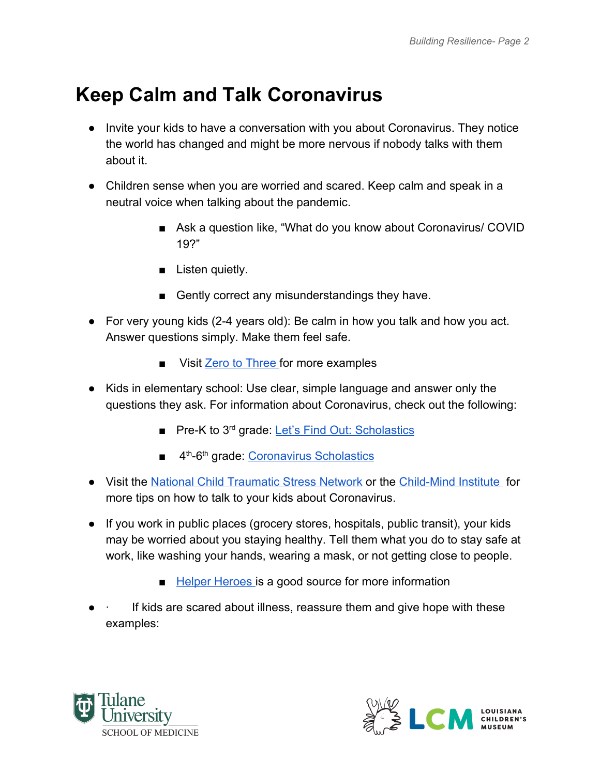# **Keep Calm and Talk Coronavirus**

- Invite your kids to have a conversation with you about Coronavirus. They notice the world has changed and might be more nervous if nobody talks with them about it.
- Children sense when you are worried and scared. Keep calm and speak in a neutral voice when talking about the pandemic.
	- Ask a question like, "What do you know about Coronavirus/ COVID 19?"
	- Listen quietly.
	- Gently correct any misunderstandings they have.
- For very young kids (2-4 years old): Be calm in how you talk and how you act. Answer questions simply. Make them feel safe.
	- Visit [Zero to Three](https://www.zerotothree.org/resources/3265-answering-your-young-child-s-questions-about-coronavirus) for more examples
- Kids in elementary school: Use clear, simple language and answer only the questions they ask. For information about Coronavirus, check out the following:
	- Pre-K to 3<sup>rd</sup> grade: [Let's Find Out: Scholastics](https://letsfindout.scholastic.com/etc/classroom-magazines/reader.html?id=8-010319)
	- 4<sup>th</sup>-6<sup>th</sup> grade: [Coronavirus Scholastics](https://sn56.scholastic.com/issues/2019-20/031620/coronavirus.html#On%20Level)
- Visit the [National Child Traumatic Stress Network](https://www.nctsn.org/sites/default/files/resources/fact-sheet/supportingchildren-covid-factsheet.pdf) or th[e](https://childmind.org/article/talking-to-kids-about-the-coronavirus/) [Child-Mind Institute](https://childmind.org/article/talking-to-kids-about-the-coronavirus/) for more tips on how to talk to your kids about Coronavirus.
- If you work in public places (grocery stores, hospitals, public transit), your kids may be worried about you staying healthy. Tell them what you do to stay safe at work, like washing your hands, wearing a mask, or not getting close to people.
	- [Helper Heroes](http://childparentpsychotherapy.com/wp-content/uploads/2020/04/HealthCareHeroes_Kids_Covid19.pdf?fbclid=IwAR050XQMI1k2gon_-35paCxfU8ALg_oQ_zlymcl7nW9oXuVv3i1gzT6Y65A) is a good source for more information
- If kids are scared about illness, reassure them and give hope with these examples:



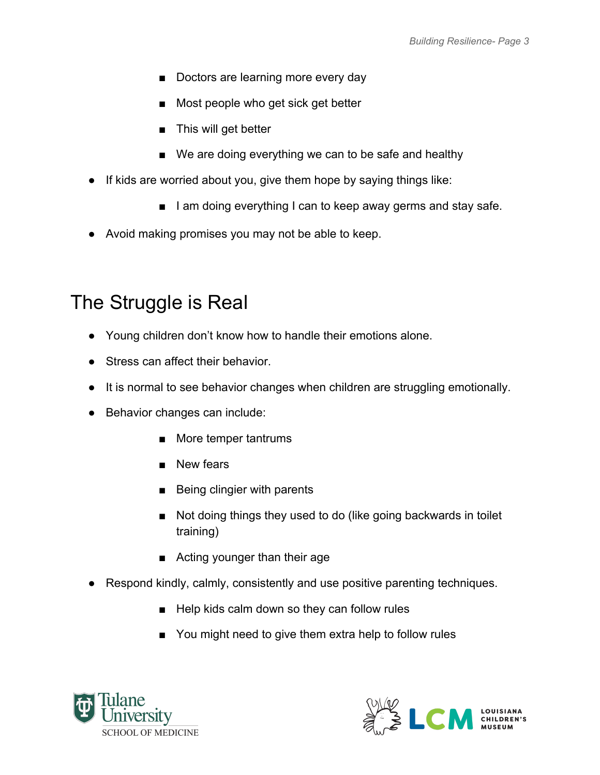- Doctors are learning more every day
- Most people who get sick get better
- This will get better
- We are doing everything we can to be safe and healthy
- If kids are worried about you, give them hope by saying things like:
	- I am doing everything I can to keep away germs and stay safe.
- Avoid making promises you may not be able to keep.

# <span id="page-2-0"></span>The Struggle is Real

- Young children don't know how to handle their emotions alone.
- Stress can affect their behavior.
- It is normal to see behavior changes when children are struggling emotionally.
- Behavior changes can include:
	- More temper tantrums
	- New fears
	- Being clingier with parents
	- Not doing things they used to do (like going backwards in toilet training)
	- Acting younger than their age
- Respond kindly, calmly, consistently and use positive parenting techniques.
	- Help kids calm down so they can follow rules
	- You might need to give them extra help to follow rules



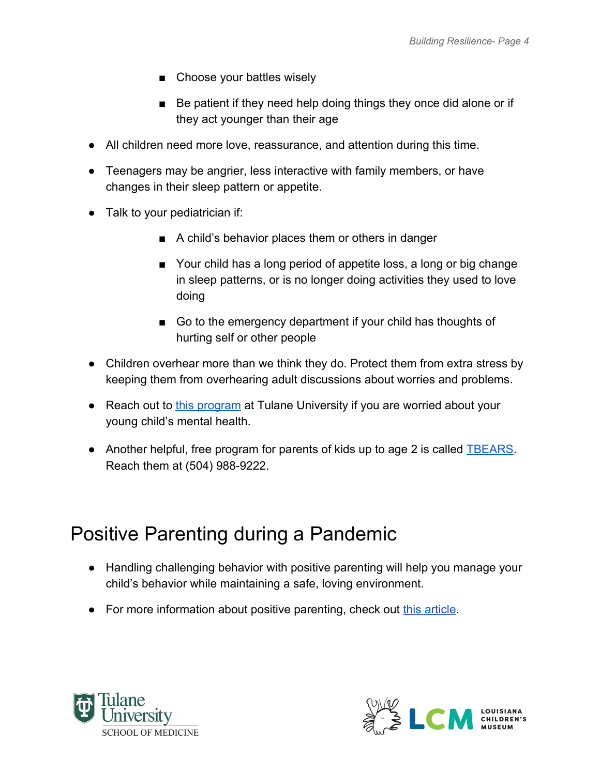- Choose your battles wisely
- Be patient if they need help doing things they once did alone or if they act younger than their age
- All children need more love, reassurance, and attention during this time.
- Teenagers may be angrier, less interactive with family members, or have changes in their sleep pattern or appetite.
- Talk to your pediatrician if:
	- A child's behavior places them or others in danger
	- Your child has a long period of appetite loss, a long or big change in sleep patterns, or is no longer doing activities they used to love doing
	- Go to the emergency department if your child has thoughts of hurting self or other people
- Children overhear more than we think they do. Protect them from extra stress by keeping them from overhearing adult discussions about worries and problems.
- Reach out to [this program](https://medicine.tulane.edu/departments/clinical-sciences/psychiatry/research/tikes) at Tulane University if you are worried about your young child's mental health.
- Another helpful, free program for parents of kids up to age 2 is called **[TBEARS](http://www.tbears.org/)**. Reach them at (504) 988-9222.

# <span id="page-3-0"></span>Positive Parenting during a Pandemic

- Handling challenging behavior with positive parenting will help you manage your child's behavior while maintaining a safe, loving environment.
- For more information about positive parenting, check out [this article.](https://www.zerotothree.org/resources/2198-nine-elements-that-power-positive-parenting)



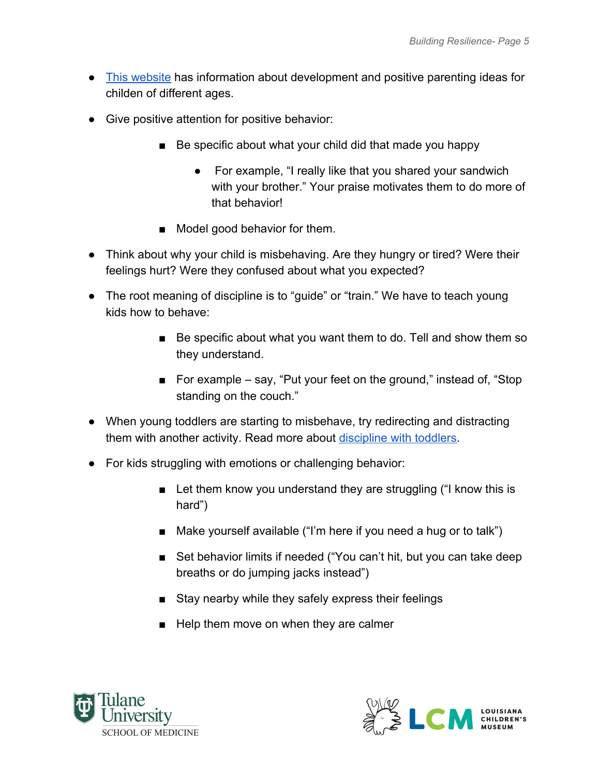- [This website](https://www.cdc.gov/ncbddd/childdevelopment/positiveparenting/index.html) has information about development and positive parenting ideas for childen of different ages.
- Give positive attention for positive behavior:
	- Be specific about what your child did that made you happy
		- For example, "I really like that you shared your sandwich with your brother." Your praise motivates them to do more of that behavior!
	- Model good behavior for them.
- Think about why your child is misbehaving. Are they hungry or tired? Were their feelings hurt? Were they confused about what you expected?
- The root meaning of discipline is to "guide" or "train." We have to teach young kids how to behave:
	- Be specific about what you want them to do. Tell and show them so they understand.
	- For example say, "Put your feet on the ground," instead of, "Stop standing on the couch."
- When young toddlers are starting to misbehave, try redirecting and distracting them with another activity. Read more about [discipline with toddlers](https://childmind.org/article/how-discipline-toddlers/).
- For kids struggling with emotions or challenging behavior:
	- Let them know you understand they are struggling ("I know this is hard")
	- Make yourself available ("I'm here if you need a hug or to talk")
	- Set behavior limits if needed ("You can't hit, but you can take deep breaths or do jumping jacks instead")
	- Stay nearby while they safely express their feelings
	- Help them move on when they are calmer



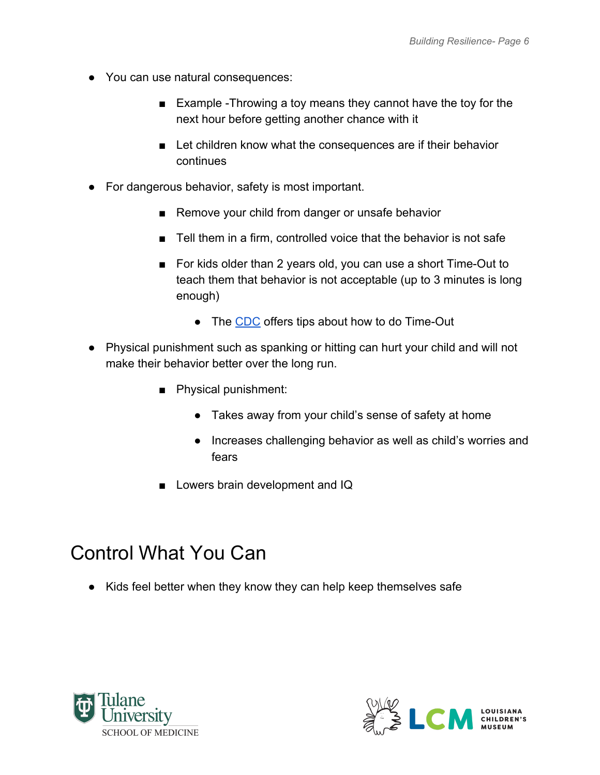- You can use natural consequences:
	- Example -Throwing a toy means they cannot have the toy for the next hour before getting another chance with it
	- Let children know what the consequences are if their behavior continues
- For dangerous behavior, safety is most important.
	- Remove your child from danger or unsafe behavior
	- Tell them in a firm, controlled voice that the behavior is not safe
	- For kids older than 2 years old, you can use a short Time-Out to teach them that behavior is not acceptable (up to 3 minutes is long enough)
		- The [CDC](https://www.cdc.gov/parents/essentials/timeout/index.html) offers tips about how to do Time-Out
- Physical punishment such as spanking or hitting can hurt your child and will not make their behavior better over the long run.
	- Physical punishment:
		- Takes away from your child's sense of safety at home
		- Increases challenging behavior as well as child's worries and fears
	- Lowers brain development and IQ

### <span id="page-5-0"></span>Control What You Can

● Kids feel better when they know they can help keep themselves safe



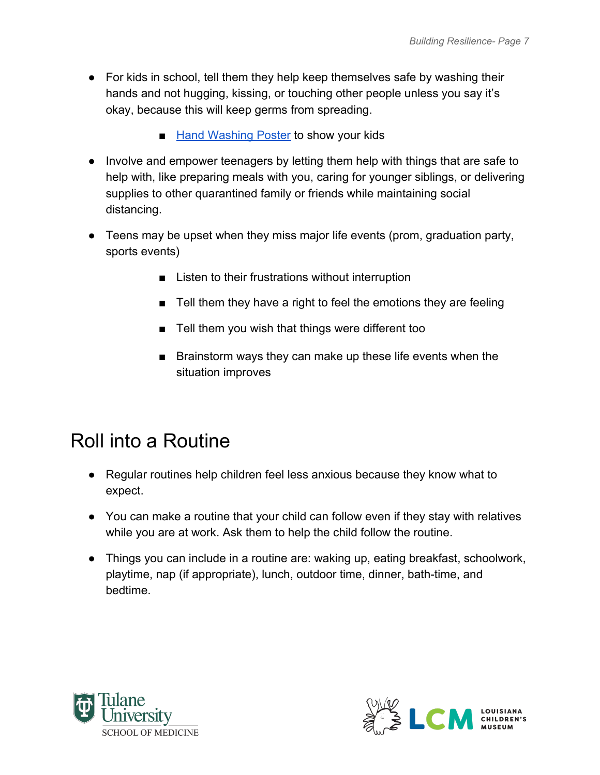- For kids in school, tell them they help keep themselves safe by washing their hands and not hugging, kissing, or touching other people unless you say it's okay, because this will keep germs from spreading.
	- [Hand Washing Poster](https://classroommagazines.scholastic.com/content/dam/classroom-magazines/magazines/home-page-logged-out/editorial/corona-virus/assets/Infographic_hand_washing.pdf) to show your kids
- Involve and empower teenagers by letting them help with things that are safe to help with, like preparing meals with you, caring for younger siblings, or delivering supplies to other quarantined family or friends while maintaining social distancing.
- Teens may be upset when they miss major life events (prom, graduation party, sports events)
	- Listen to their frustrations without interruption
	- Tell them they have a right to feel the emotions they are feeling
	- Tell them you wish that things were different too
	- Brainstorm ways they can make up these life events when the situation improves

# <span id="page-6-0"></span>Roll into a Routine

- Regular routines help children feel less anxious because they know what to expect.
- You can make a routine that your child can follow even if they stay with relatives while you are at work. Ask them to help the child follow the routine.
- Things you can include in a routine are: waking up, eating breakfast, schoolwork, playtime, nap (if appropriate), lunch, outdoor time, dinner, bath-time, and bedtime.



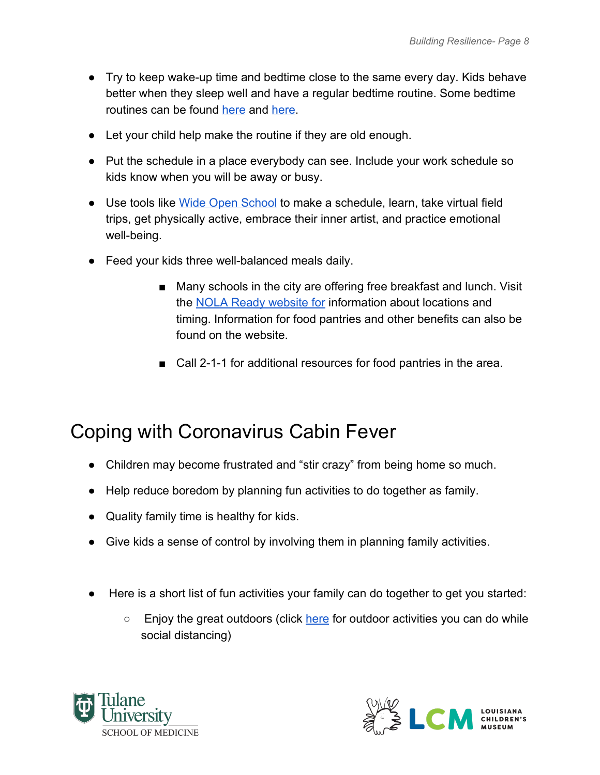- Try to keep wake-up time and bedtime close to the same every day. Kids behave better when they sleep well and have a regular bedtime routine. Some bedtime routines can be found [here](https://www.healthychildren.org/English/healthy-living/oral-health/Pages/Brush-Book-Bed.aspx) and [here.](https://www.healthychildren.org/English/healthy-living/sleep/Pages/Sleep-and-Mental-Health.aspx)
- Let your child help make the routine if they are old enough.
- Put the schedule in a place everybody can see. Include your work schedule so kids know when you will be away or busy.
- Use tools lik[e](https://wideopenschool.org/) [Wide Open School](https://wideopenschool.org/) to make a schedule, learn, take virtual field trips, get physically active, embrace their inner artist, and practice emotional well-being.
- Feed your kids three well-balanced meals daily.
	- Many schools in the city are offering free breakfast and lunch. Visit th[e](https://ready.nola.gov/home/#food) [NOLA Ready website for](https://ready.nola.gov/home/#food) information about locations and timing. Information for food pantries and other benefits can also be found on the website.
	- Call 2-1-1 for additional resources for food pantries in the area.

### <span id="page-7-0"></span>Coping with Coronavirus Cabin Fever

- Children may become frustrated and "stir crazy" from being home so much.
- Help reduce boredom by planning fun activities to do together as family.
- Quality family time is healthy for kids.
- Give kids a sense of control by involving them in planning family activities.
- Here is a short list of fun activities your family can do together to get you started:
	- Enjoy the great outdoors (click [here](https://www.healthychildren.org/English/health-issues/conditions/chest-lungs/Pages/Getting-Children-Outside.aspx) for outdoor activities you can do while social distancing)



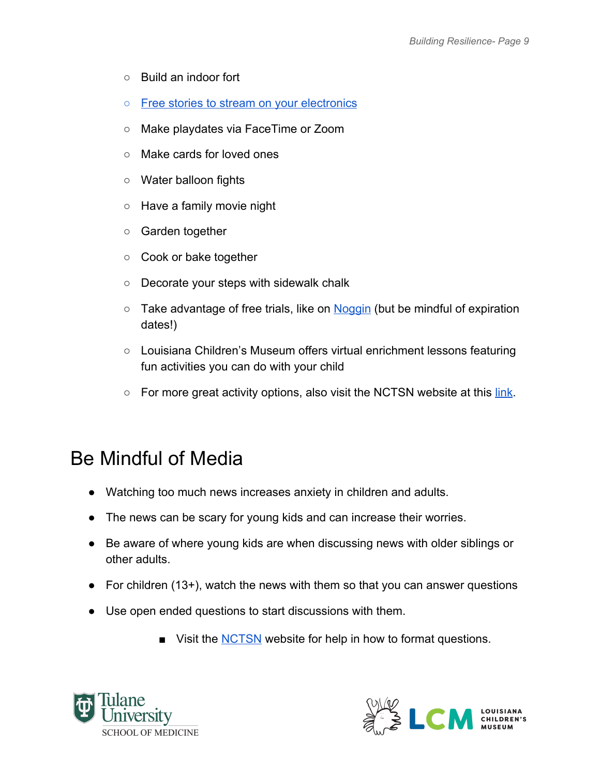- Build an indoor fort
- [Free stories to stream on your electronics](https://stories.audible.com/start-listen)
- Make playdates via FaceTime or Zoom
- Make cards for loved ones
- Water balloon fights
- Have a family movie night
- Garden together
- Cook or bake together
- Decorate your steps with sidewalk chalk
- $\circ$  Take advantage of free trials, like on [Noggin](https://www.noggin.com/?s_kwcid=AL%2111196%213%21428955605744%21b%21%21g%21%21%2Bgames%20%2Bfor%20%2Bkids&gclid=Cj0KCQjw4dr0BRCxARIsAKUNjWRSRteeCqUN3Fx_83NNZXOZn3HXAIgSGwCVq5hb_f7NaAVQw8i9FDoaAoM7EALw_wcB) (but be mindful of expiration dates!)
- Louisiana Children's Museum offer[s virtual enrichment lessons](https://www.youtube.com/user/lachildrensmuseum) featuring fun activities you can do with your child
- For more great activity options, also visit the NCTSN website at this [link.](https://www.nctsn.org/resources/simple-activities-children-and-adolescents)

#### <span id="page-8-0"></span>Be Mindful of Media

- Watching too much news increases anxiety in children and adults.
- The news can be scary for young kids and can increase their worries.
- Be aware of where young kids are when discussing news with older siblings or other adults.
- For children (13+), watch the news with them so that you can answer questions
- Use open ended questions to start discussions with them.
	- Visit the **[NCTSN](https://www.nctsn.org/sites/default/files/resources/fact-sheet/supportingchildren-covid-factsheet.pdf)** website for help in how to format questions.



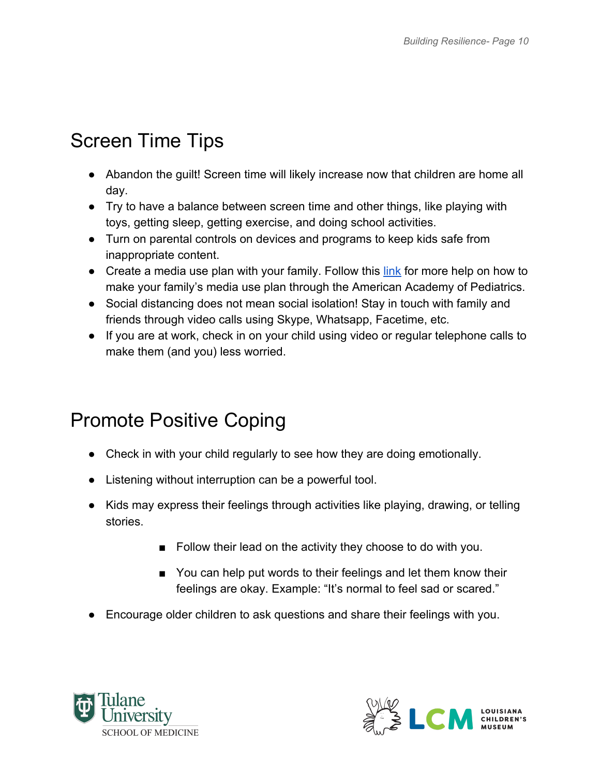# <span id="page-9-0"></span>Screen Time Tips

- Abandon the guilt! Screen time will likely increase now that children are home all day.
- Try to have a balance between screen time and other things, like playing with toys, getting sleep, getting exercise, and doing school activities.
- Turn on parental controls on devices and programs to keep kids safe from inappropriate content.
- Create a media use plan with your family. Follow this [link](https://www.healthychildren.org/English/family-life/Media/Pages/How-to-Make-a-Family-Media-Use-Plan.aspx) for more help on how to make your family's media use plan through the American Academy of Pediatrics.
- Social distancing does not mean social isolation! Stay in touch with family and friends through video calls using Skype, Whatsapp, Facetime, etc.
- If you are at work, check in on your child using video or regular telephone calls to make them (and you) less worried.

# <span id="page-9-1"></span>Promote Positive Coping

- Check in with your child regularly to see how they are doing emotionally.
- Listening without interruption can be a powerful tool.
- Kids may express their feelings through activities like playing, drawing, or telling stories.
	- Follow their lead on the activity they choose to do with you.
	- You can help put words to their feelings and let them know their feelings are okay. Example: "It's normal to feel sad or scared."
- Encourage older children to ask questions and share their feelings with you.



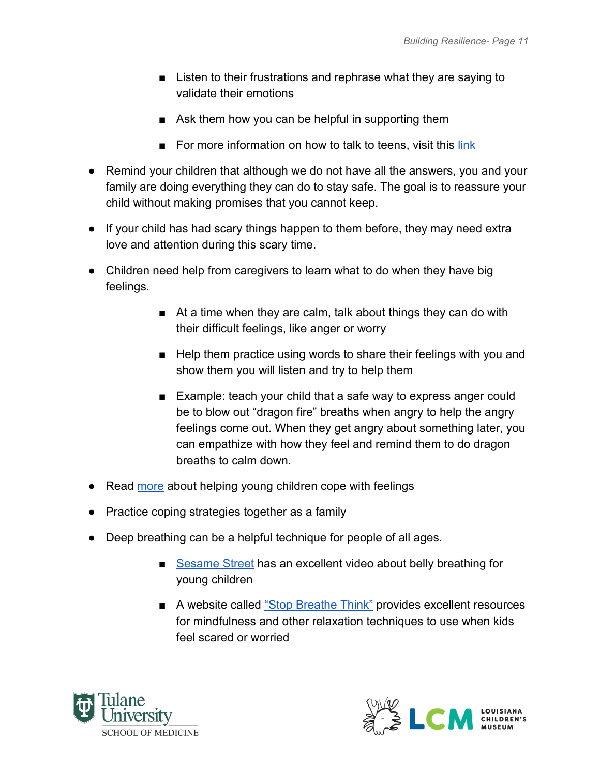- Listen to their frustrations and rephrase what they are saying to validate their emotions
- Ask them how you can be helpful in supporting them
- For more information on how to talk to teens, visit this [link](https://www.healthychildren.org/English/family-life/family-dynamics/communication-discipline/Pages/How-to-Communicate-with-a-Teenager.aspx)
- Remind your children that although we do not have all the answers, you and your family are doing everything they can do to stay safe. The goal is to reassure your child without making promises that you cannot keep.
- If your child has had scary things happen to them before, they may need extra love and attention during this scary time.
- Children need help from caregivers to learn what to do when they have big feelings.
	- At a time when they are calm, talk about things they can do with their difficult feelings, like anger or worry
	- Help them practice using words to share their feelings with you and show them you will listen and try to help them
	- Example: teach your child that a safe way to express anger could be to blow out "dragon fire" breaths when angry to help the angry feelings come out. When they get angry about something later, you can empathize with how they feel and remind them to do dragon breaths to calm down.
- Rea[d](https://www.zerotothree.org/resources/294-first-feelings-the-foundation-of-healthy-development-starting-from-birth) [more](https://www.zerotothree.org/resources/294-first-feelings-the-foundation-of-healthy-development-starting-from-birth) about helping young children cope with feelings
- Practice coping strategies together as a family
- Deep breathing can be a helpful technique for people of all ages.
	- [Sesame Street](https://www.youtube.com/watch?v=_mZbzDOpylA) has an excellent video about belly breathing for young children
	- A website called ["Stop Breathe Think"](https://www.stopbreathethink.com/kids/) provides excellent resources for mindfulness and other relaxation techniques to use when kids feel scared or worried



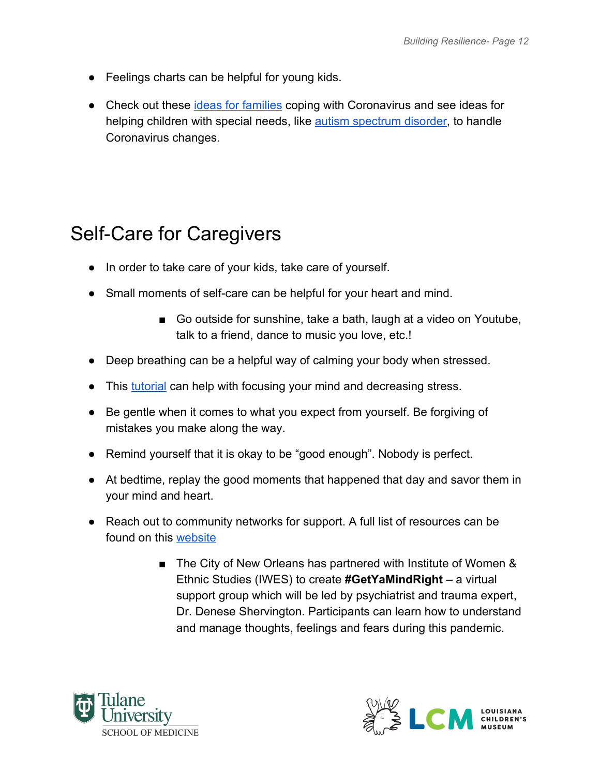- Feelings charts can be helpful for young kids.
- Check out these *[ideas for families](https://childmind.org/coping-during-covid-19-resources-for-parents/)* coping with Coronavirus and see ideas for helping children with special needs, like [autism spectrum disorder](https://www.autism.org/covid-19-resources/), to handle Coronavirus changes.

# <span id="page-11-0"></span>Self-Care for Caregivers

- In order to take care of your kids, take care of yourself.
- Small moments of self-care can be helpful for your heart and mind.
	- Go outside for sunshine, take a bath, laugh at a video on Youtube, talk to a friend, dance to music you love, etc.!
- Deep breathing can be a helpful way of calming your body when stressed.
- Thi[s](https://ggia.berkeley.edu/practice/mindful_breathing?_ga=2.32543678.1411241857.1586688730-862840046.1586688730) [tutorial](https://ggia.berkeley.edu/practice/mindful_breathing?_ga=2.32543678.1411241857.1586688730-862840046.1586688730) can help with focusing your mind and decreasing stress.
- Be gentle when it comes to what you expect from yourself. Be forgiving of mistakes you make along the way.
- Remind yourself that it is okay to be "good enough". Nobody is perfect.
- At bedtime, replay the good moments that happened that day and savor them in your mind and heart.
- Reach out to community networks for support. A full list of resources can be found on this [website](https://ready.nola.gov/home/#distress)
	- The City of New Orleans has partnered with Institute of Women & Ethnic Studies (IWES) to create **#GetYaMindRight** – a virtual support group which will be led by psychiatrist and trauma expert, Dr. Denese Shervington. Participants can learn how to understand and manage thoughts, feelings and fears during this pandemic.



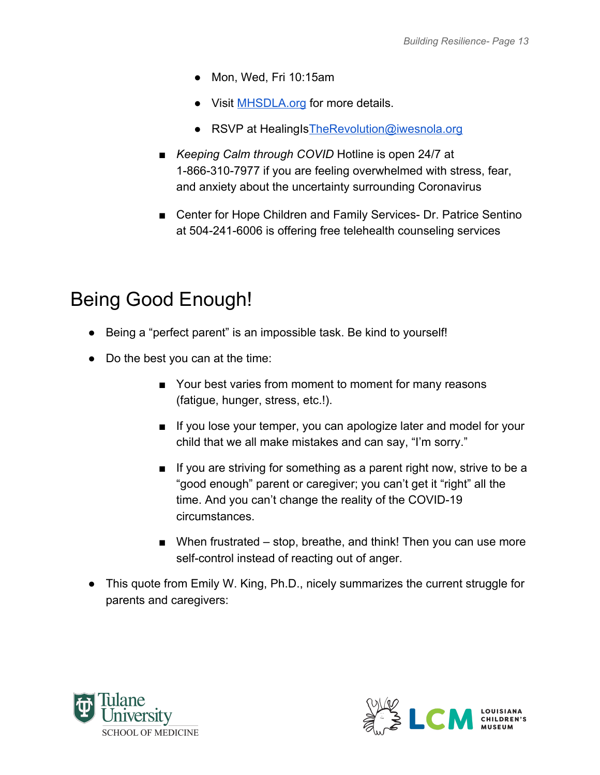- Mon, Wed, Fri 10:15am
- Visit **MHSDLA.org** for more details.
- RSVP at HealingIs The Revolution@iwesnola.org
- *Keeping Calm through COVID* Hotline is open 24/7 at 1-866-310-7977 if you are feeling overwhelmed with stress, fear, and anxiety about the uncertainty surrounding Coronavirus
- Center for Hope Children and Family Services- Dr. Patrice Sentino at 504-241-6006 is offering free telehealth counseling services

# <span id="page-12-0"></span>Being Good Enough!

- Being a "perfect parent" is an impossible task. Be kind to yourself!
- Do the best you can at the time:
	- Your best varies from moment to moment for many reasons (fatigue, hunger, stress, etc.!).
	- If you lose your temper, you can apologize later and model for your child that we all make mistakes and can say, "I'm sorry."
	- If you are striving for something as a parent right now, strive to be a "good enough" parent or caregiver; you can't get it "right" all the time. And you can't change the reality of the COVID-19 circumstances.
	- When frustrated stop, breathe, and think! Then you can use more self-control instead of reacting out of anger.
- This quote from Emily W. King, Ph.D., nicely summarizes the current struggle for parents and caregivers:



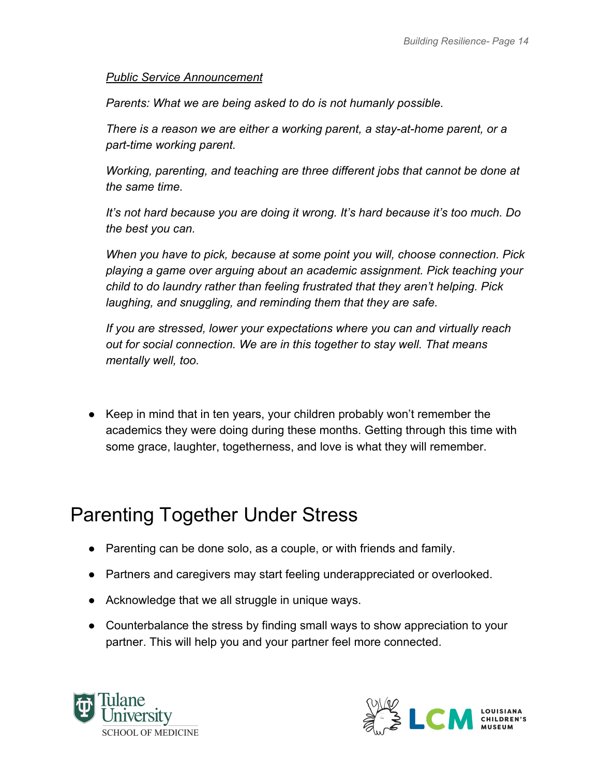#### *Public Service Announcement*

*Parents: What we are being asked to do is not humanly possible.*

*There is a reason we are either a working parent, a stay-at-home parent, or a part-time working parent.*

*Working, parenting, and teaching are three different jobs that cannot be done at the same time.*

*It's not hard because you are doing it wrong. It's hard because it's too much. Do the best you can.*

*When you have to pick, because at some point you will, choose connection. Pick playing a game over arguing about an academic assignment. Pick teaching your child to do laundry rather than feeling frustrated that they aren't helping. Pick laughing, and snuggling, and reminding them that they are safe.*

*If you are stressed, lower your expectations where you can and virtually reach out for social connection. We are in this together to stay well. That means mentally well, too.*

● Keep in mind that in ten years, your children probably won't remember the academics they were doing during these months. Getting through this time with some grace, laughter, togetherness, and love is what they will remember.

### <span id="page-13-0"></span>Parenting Together Under Stress

- Parenting can be done solo, as a couple, or with friends and family.
- Partners and caregivers may start feeling underappreciated or overlooked.
- Acknowledge that we all struggle in unique ways.
- Counterbalance the stress by finding small ways to show appreciation to your partner. This will help you and your partner feel more connected.



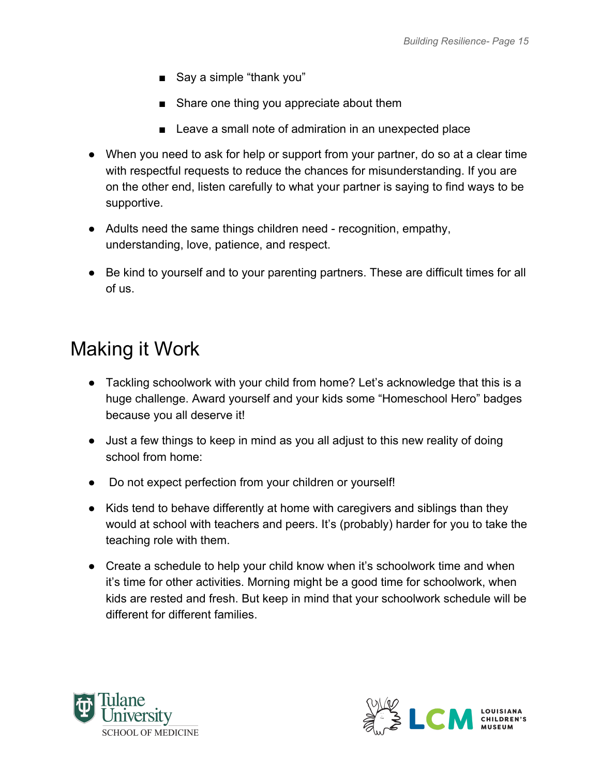- Say a simple "thank you"
- Share one thing you appreciate about them
- Leave a small note of admiration in an unexpected place
- When you need to ask for help or support from your partner, do so at a clear time with respectful requests to reduce the chances for misunderstanding. If you are on the other end, listen carefully to what your partner is saying to find ways to be supportive.
- Adults need the same things children need recognition, empathy, understanding, love, patience, and respect.
- Be kind to yourself and to your parenting partners. These are difficult times for all of us.

#### <span id="page-14-0"></span>Making it Work

- Tackling schoolwork with your child from home? Let's acknowledge that this is a huge challenge. Award yourself and your kids some "Homeschool Hero" badges because you all deserve it!
- Just a few things to keep in mind as you all adjust to this new reality of doing school from home:
- Do not expect perfection from your children or yourself!
- Kids tend to behave differently at home with caregivers and siblings than they would at school with teachers and peers. It's (probably) harder for you to take the teaching role with them.
- Create a schedule to help your child know when it's schoolwork time and when it's time for other activities. Morning might be a good time for schoolwork, when kids are rested and fresh. But keep in mind that your schoolwork schedule will be different for different families.



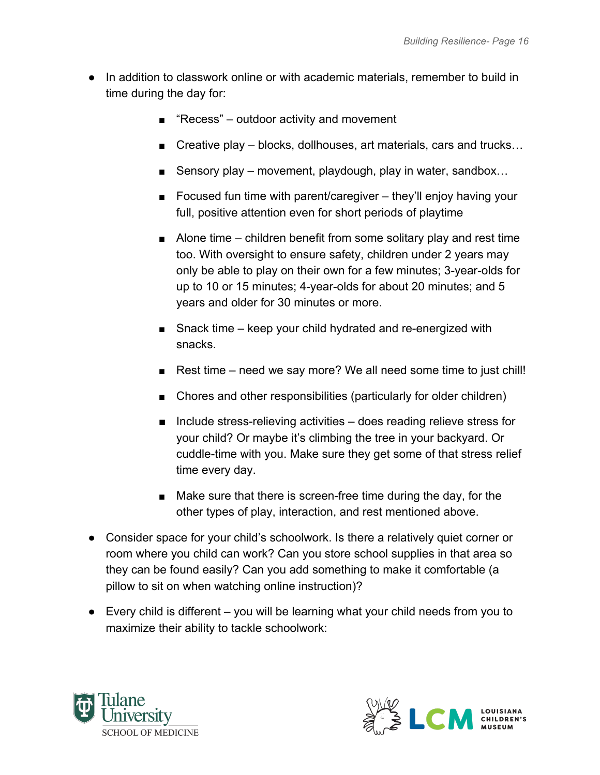- In addition to classwork online or with academic materials, remember to build in time during the day for:
	- "Recess" outdoor activity and movement
	- Creative play blocks, dollhouses, art materials, cars and trucks...
	- Sensory play movement, playdough, play in water, sandbox...
	- Focused fun time with parent/caregiver they'll enjoy having your full, positive attention even for short periods of playtime
	- $\blacksquare$  Alone time children benefit from some solitary play and rest time too. With oversight to ensure safety, children under 2 years may only be able to play on their own for a few minutes; 3-year-olds for up to 10 or 15 minutes; 4-year-olds for about 20 minutes; and 5 years and older for 30 minutes or more.
	- Snack time keep your child hydrated and re-energized with snacks.
	- Rest time need we say more? We all need some time to just chill!
	- Chores and other responsibilities (particularly for older children)
	- $\blacksquare$  Include stress-relieving activities does reading relieve stress for your child? Or maybe it's climbing the tree in your backyard. Or cuddle-time with you. Make sure they get some of that stress relief time every day.
	- Make sure that there is screen-free time during the day, for the other types of play, interaction, and rest mentioned above.
- Consider space for your child's schoolwork. Is there a relatively quiet corner or room where you child can work? Can you store school supplies in that area so they can be found easily? Can you add something to make it comfortable (a pillow to sit on when watching online instruction)?
- Every child is different you will be learning what your child needs from you to maximize their ability to tackle schoolwork:



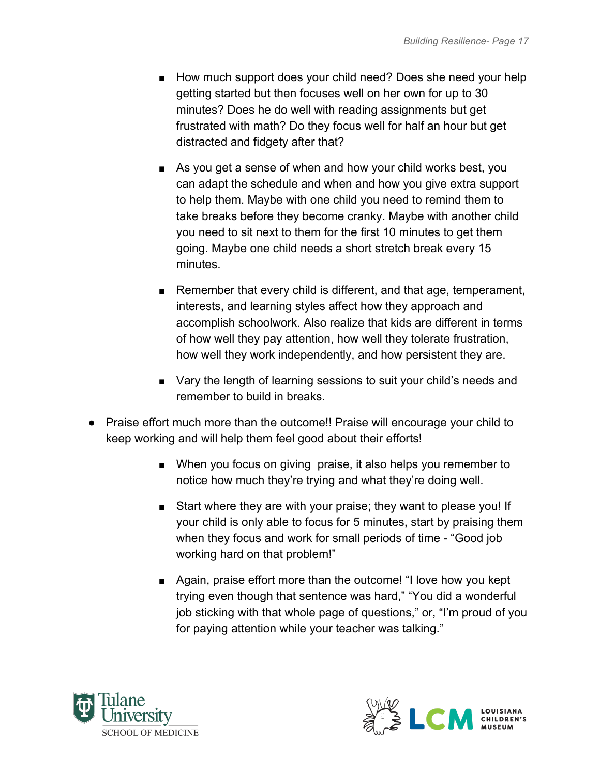- How much support does your child need? Does she need your help getting started but then focuses well on her own for up to 30 minutes? Does he do well with reading assignments but get frustrated with math? Do they focus well for half an hour but get distracted and fidgety after that?
- As you get a sense of when and how your child works best, you can adapt the schedule and when and how you give extra support to help them. Maybe with one child you need to remind them to take breaks before they become cranky. Maybe with another child you need to sit next to them for the first 10 minutes to get them going. Maybe one child needs a short stretch break every 15 minutes.
- Remember that every child is different, and that age, temperament, interests, and learning styles affect how they approach and accomplish schoolwork. Also realize that kids are different in terms of how well they pay attention, how well they tolerate frustration, how well they work independently, and how persistent they are.
- Vary the length of learning sessions to suit your child's needs and remember to build in breaks.
- Praise effort much more than the outcome!! Praise will encourage your child to keep working and will help them feel good about their efforts!
	- When you focus on giving praise, it also helps you remember to notice how much they're trying and what they're doing well.
	- Start where they are with your praise; they want to please you! If your child is only able to focus for 5 minutes, start by praising them when they focus and work for small periods of time - "Good job working hard on that problem!"
	- Again, praise effort more than the outcome! "I love how you kept trying even though that sentence was hard," "You did a wonderful job sticking with that whole page of questions," or, "I'm proud of you for paying attention while your teacher was talking."